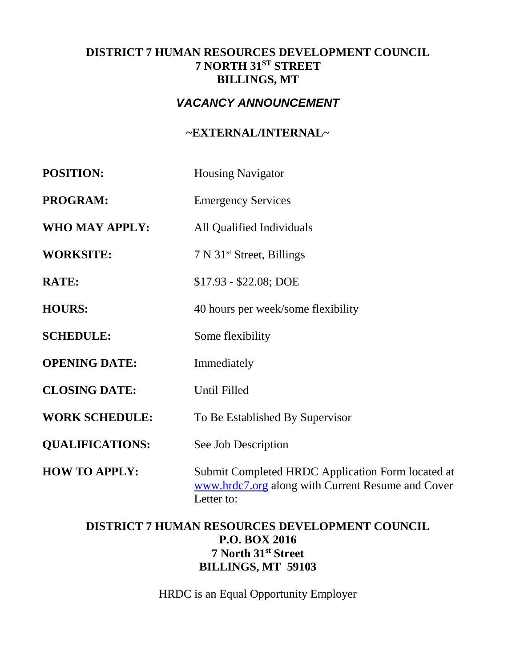## **DISTRICT 7 HUMAN RESOURCES DEVELOPMENT COUNCIL 7 NORTH 31ST STREET BILLINGS, MT**

# *VACANCY ANNOUNCEMENT*

# **~EXTERNAL/INTERNAL~**

| <b>POSITION:</b>       | <b>Housing Navigator</b>                                                                                             |  |
|------------------------|----------------------------------------------------------------------------------------------------------------------|--|
| <b>PROGRAM:</b>        | <b>Emergency Services</b>                                                                                            |  |
| WHO MAY APPLY:         | All Qualified Individuals                                                                                            |  |
| <b>WORKSITE:</b>       | 7 N 31 <sup>st</sup> Street, Billings                                                                                |  |
| <b>RATE:</b>           | $$17.93 - $22.08; DOE$                                                                                               |  |
| <b>HOURS:</b>          | 40 hours per week/some flexibility                                                                                   |  |
| <b>SCHEDULE:</b>       | Some flexibility                                                                                                     |  |
| <b>OPENING DATE:</b>   | Immediately                                                                                                          |  |
| <b>CLOSING DATE:</b>   | Until Filled                                                                                                         |  |
| <b>WORK SCHEDULE:</b>  | To Be Established By Supervisor                                                                                      |  |
| <b>QUALIFICATIONS:</b> | See Job Description                                                                                                  |  |
| <b>HOW TO APPLY:</b>   | Submit Completed HRDC Application Form located at<br>www.hrdc7.org along with Current Resume and Cover<br>Letter to: |  |

## **DISTRICT 7 HUMAN RESOURCES DEVELOPMENT COUNCIL P.O. BOX 2016 7 North 31st Street BILLINGS, MT 59103**

HRDC is an Equal Opportunity Employer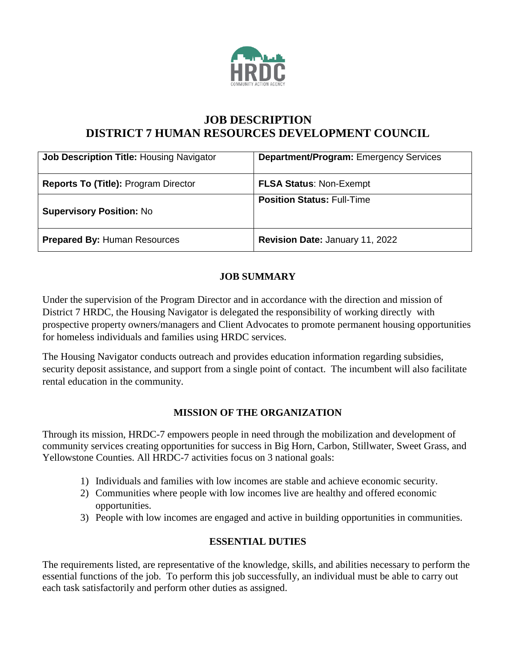

# **JOB DESCRIPTION DISTRICT 7 HUMAN RESOURCES DEVELOPMENT COUNCIL**

| <b>Job Description Title: Housing Navigator</b> | <b>Department/Program: Emergency Services</b> |
|-------------------------------------------------|-----------------------------------------------|
| Reports To (Title): Program Director            | <b>FLSA Status: Non-Exempt</b>                |
| <b>Supervisory Position: No</b>                 | <b>Position Status: Full-Time</b>             |
| <b>Prepared By: Human Resources</b>             | Revision Date: January 11, 2022               |

### **JOB SUMMARY**

Under the supervision of the Program Director and in accordance with the direction and mission of District 7 HRDC, the Housing Navigator is delegated the responsibility of working directly with prospective property owners/managers and Client Advocates to promote permanent housing opportunities for homeless individuals and families using HRDC services.

The Housing Navigator conducts outreach and provides education information regarding subsidies, security deposit assistance, and support from a single point of contact. The incumbent will also facilitate rental education in the community.

### **MISSION OF THE ORGANIZATION**

Through its mission, HRDC-7 empowers people in need through the mobilization and development of community services creating opportunities for success in Big Horn, Carbon, Stillwater, Sweet Grass, and Yellowstone Counties. All HRDC-7 activities focus on 3 national goals:

- 1) Individuals and families with low incomes are stable and achieve economic security.
- 2) Communities where people with low incomes live are healthy and offered economic opportunities.
- 3) People with low incomes are engaged and active in building opportunities in communities.

## **ESSENTIAL DUTIES**

The requirements listed, are representative of the knowledge, skills, and abilities necessary to perform the essential functions of the job. To perform this job successfully, an individual must be able to carry out each task satisfactorily and perform other duties as assigned.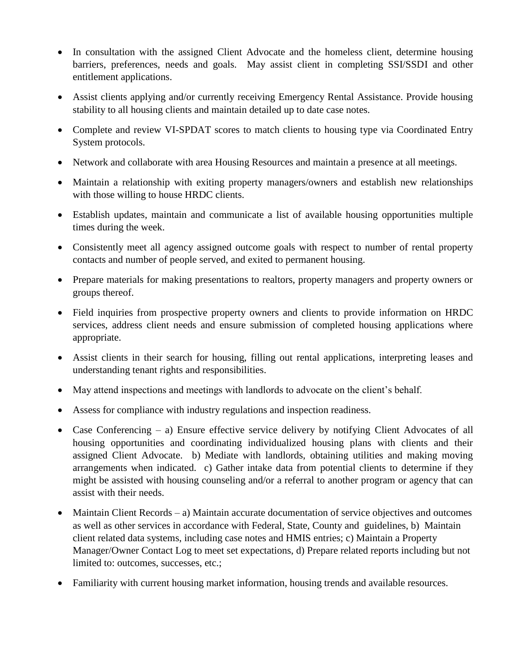- In consultation with the assigned Client Advocate and the homeless client, determine housing barriers, preferences, needs and goals. May assist client in completing SSI/SSDI and other entitlement applications.
- Assist clients applying and/or currently receiving Emergency Rental Assistance. Provide housing stability to all housing clients and maintain detailed up to date case notes.
- Complete and review VI-SPDAT scores to match clients to housing type via Coordinated Entry System protocols.
- Network and collaborate with area Housing Resources and maintain a presence at all meetings.
- Maintain a relationship with exiting property managers/owners and establish new relationships with those willing to house HRDC clients.
- Establish updates, maintain and communicate a list of available housing opportunities multiple times during the week.
- Consistently meet all agency assigned outcome goals with respect to number of rental property contacts and number of people served, and exited to permanent housing.
- Prepare materials for making presentations to realtors, property managers and property owners or groups thereof.
- Field inquiries from prospective property owners and clients to provide information on HRDC services, address client needs and ensure submission of completed housing applications where appropriate.
- Assist clients in their search for housing, filling out rental applications, interpreting leases and understanding tenant rights and responsibilities.
- May attend inspections and meetings with landlords to advocate on the client's behalf.
- Assess for compliance with industry regulations and inspection readiness.
- Case Conferencing a) Ensure effective service delivery by notifying Client Advocates of all housing opportunities and coordinating individualized housing plans with clients and their assigned Client Advocate. b) Mediate with landlords, obtaining utilities and making moving arrangements when indicated. c) Gather intake data from potential clients to determine if they might be assisted with housing counseling and/or a referral to another program or agency that can assist with their needs.
- Maintain Client Records a) Maintain accurate documentation of service objectives and outcomes as well as other services in accordance with Federal, State, County and guidelines, b) Maintain client related data systems, including case notes and HMIS entries; c) Maintain a Property Manager/Owner Contact Log to meet set expectations, d) Prepare related reports including but not limited to: outcomes, successes, etc.;
- Familiarity with current housing market information, housing trends and available resources.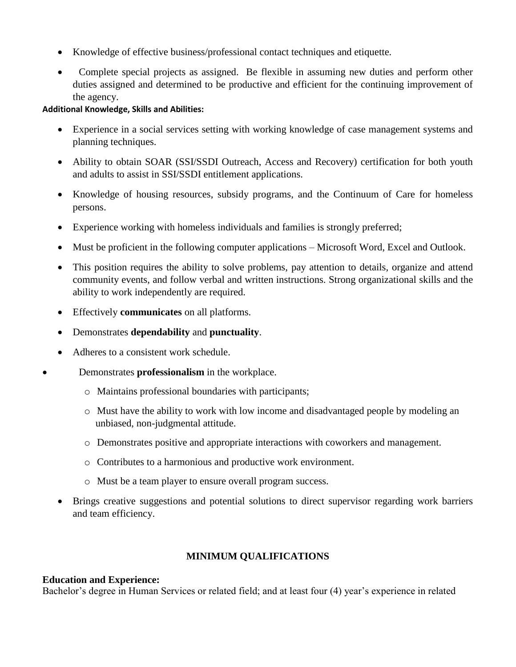- Knowledge of effective business/professional contact techniques and etiquette.
- Complete special projects as assigned. Be flexible in assuming new duties and perform other duties assigned and determined to be productive and efficient for the continuing improvement of the agency.

#### **Additional Knowledge, Skills and Abilities:**

- Experience in a social services setting with working knowledge of case management systems and planning techniques.
- Ability to obtain SOAR (SSI/SSDI Outreach, Access and Recovery) certification for both youth and adults to assist in SSI/SSDI entitlement applications.
- Knowledge of housing resources, subsidy programs, and the Continuum of Care for homeless persons.
- Experience working with homeless individuals and families is strongly preferred;
- Must be proficient in the following computer applications Microsoft Word, Excel and Outlook.
- This position requires the ability to solve problems, pay attention to details, organize and attend community events, and follow verbal and written instructions. Strong organizational skills and the ability to work independently are required.
- Effectively **communicates** on all platforms.
- Demonstrates **dependability** and **punctuality**.
- Adheres to a consistent work schedule.
- Demonstrates **professionalism** in the workplace.
	- o Maintains professional boundaries with participants;
	- o Must have the ability to work with low income and disadvantaged people by modeling an unbiased, non-judgmental attitude.
	- o Demonstrates positive and appropriate interactions with coworkers and management.
	- o Contributes to a harmonious and productive work environment.
	- o Must be a team player to ensure overall program success.
	- Brings creative suggestions and potential solutions to direct supervisor regarding work barriers and team efficiency.

### **MINIMUM QUALIFICATIONS**

### **Education and Experience:**

Bachelor's degree in Human Services or related field; and at least four (4) year's experience in related